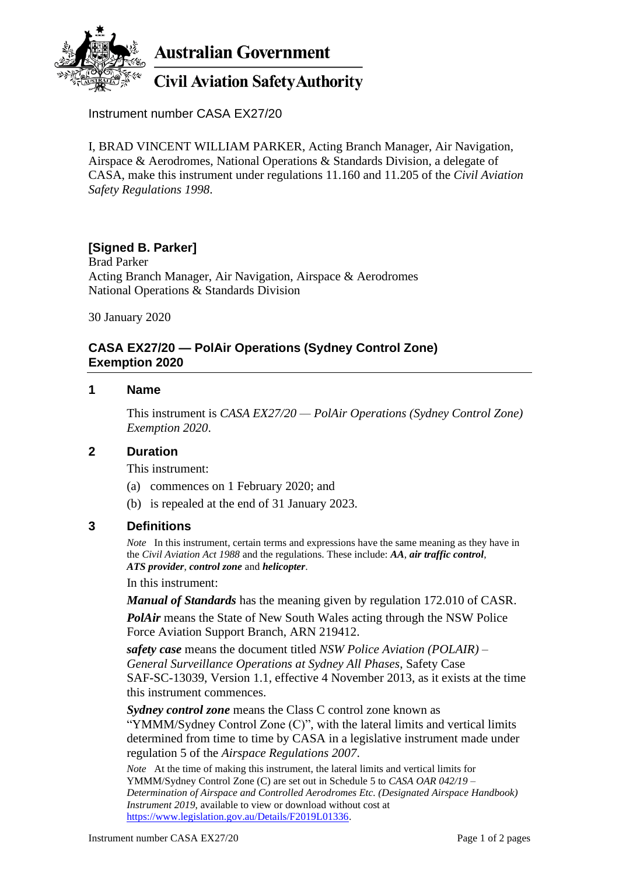

Instrument number CASA EX27/20

I, BRAD VINCENT WILLIAM PARKER, Acting Branch Manager, Air Navigation, Airspace & Aerodromes, National Operations & Standards Division, a delegate of CASA, make this instrument under regulations 11.160 and 11.205 of the *Civil Aviation Safety Regulations 1998*.

# **[Signed B. Parker]**

Brad Parker Acting Branch Manager, Air Navigation, Airspace & Aerodromes National Operations & Standards Division

30 January 2020

### **CASA EX27/20 — PolAir Operations (Sydney Control Zone) Exemption 2020**

#### **1 Name**

This instrument is *CASA EX27/20 — PolAir Operations (Sydney Control Zone) Exemption 2020*.

#### **2 Duration**

This instrument:

- (a) commences on 1 February 2020; and
- (b) is repealed at the end of 31 January 2023.

### **3 Definitions**

*Note* In this instrument, certain terms and expressions have the same meaning as they have in the *Civil Aviation Act 1988* and the regulations. These include: *AA*, *air traffic control*, *ATS provider*, *control zone* and *helicopter*.

In this instrument:

*Manual of Standards* has the meaning given by regulation 172.010 of CASR.

*PolAir* means the State of New South Wales acting through the NSW Police Force Aviation Support Branch, ARN 219412.

*safety case* means the document titled *NSW Police Aviation (POLAIR) – General Surveillance Operations at Sydney All Phases*, Safety Case SAF-SC-13039, Version 1.1, effective 4 November 2013, as it exists at the time this instrument commences.

*Sydney control zone* means the Class C control zone known as "YMMM/Sydney Control Zone (C)", with the lateral limits and vertical limits determined from time to time by CASA in a legislative instrument made under regulation 5 of the *Airspace Regulations 2007*.

*Note* At the time of making this instrument, the lateral limits and vertical limits for YMMM/Sydney Control Zone (C) are set out in Schedule 5 to *CASA OAR 042/19 – Determination of Airspace and Controlled Aerodromes Etc. (Designated Airspace Handbook) Instrument 2019*, available to view or download without cost at [https://www.legislation.gov.au/Details/F2019L01336.](https://www.legislation.gov.au/Details/F2019L01336)